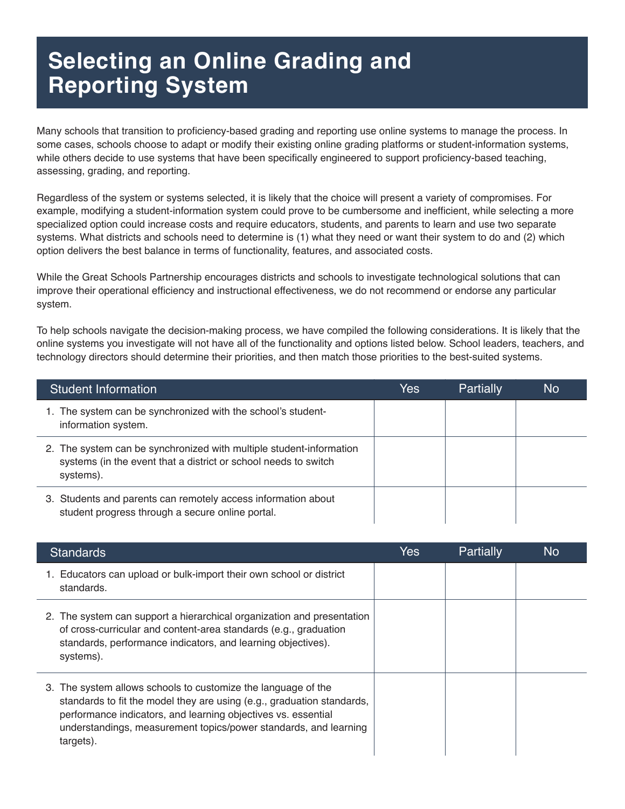## **Selecting an Online Grading and Reporting System**

Many schools that transition to proficiency-based grading and reporting use online systems to manage the process. In some cases, schools choose to adapt or modify their existing online grading platforms or student-information systems, while others decide to use systems that have been specifically engineered to support proficiency-based teaching, assessing, grading, and reporting.

Regardless of the system or systems selected, it is likely that the choice will present a variety of compromises. For example, modifying a student-information system could prove to be cumbersome and inefficient, while selecting a more specialized option could increase costs and require educators, students, and parents to learn and use two separate systems. What districts and schools need to determine is (1) what they need or want their system to do and (2) which option delivers the best balance in terms of functionality, features, and associated costs.

While the Great Schools Partnership encourages districts and schools to investigate technological solutions that can improve their operational efficiency and instructional effectiveness, we do not recommend or endorse any particular system.

To help schools navigate the decision-making process, we have compiled the following considerations. It is likely that the online systems you investigate will not have all of the functionality and options listed below. School leaders, teachers, and technology directors should determine their priorities, and then match those priorities to the best-suited systems.

| Student Information                                                                                                                                 | Yes | Partially | <b>No</b> |
|-----------------------------------------------------------------------------------------------------------------------------------------------------|-----|-----------|-----------|
| 1. The system can be synchronized with the school's student-<br>information system.                                                                 |     |           |           |
| 2. The system can be synchronized with multiple student-information<br>systems (in the event that a district or school needs to switch<br>systems). |     |           |           |
| 3. Students and parents can remotely access information about<br>student progress through a secure online portal.                                   |     |           |           |

| <b>Standards</b>                                                                                                                                                                                                                                                                          | Yes | Partially | N <sub>o</sub> |
|-------------------------------------------------------------------------------------------------------------------------------------------------------------------------------------------------------------------------------------------------------------------------------------------|-----|-----------|----------------|
| 1. Educators can upload or bulk-import their own school or district<br>standards.                                                                                                                                                                                                         |     |           |                |
| 2. The system can support a hierarchical organization and presentation<br>of cross-curricular and content-area standards (e.g., graduation<br>standards, performance indicators, and learning objectives).<br>systems).                                                                   |     |           |                |
| 3. The system allows schools to customize the language of the<br>standards to fit the model they are using (e.g., graduation standards,<br>performance indicators, and learning objectives vs. essential<br>understandings, measurement topics/power standards, and learning<br>targets). |     |           |                |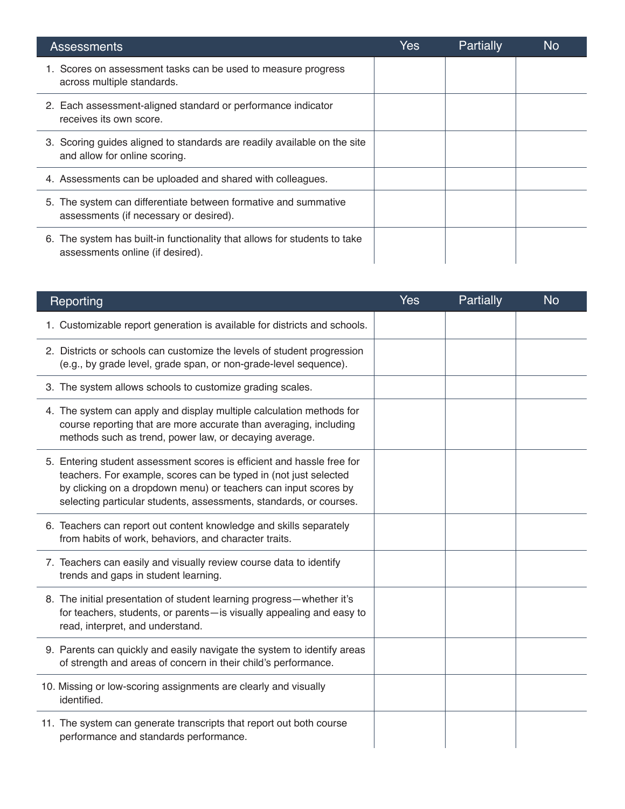| <b>Assessments</b>                                                                                            | Yes | Partially | No |
|---------------------------------------------------------------------------------------------------------------|-----|-----------|----|
| 1. Scores on assessment tasks can be used to measure progress<br>across multiple standards.                   |     |           |    |
| 2. Each assessment-aligned standard or performance indicator<br>receives its own score.                       |     |           |    |
| 3. Scoring guides aligned to standards are readily available on the site<br>and allow for online scoring.     |     |           |    |
| 4. Assessments can be uploaded and shared with colleagues.                                                    |     |           |    |
| 5. The system can differentiate between formative and summative<br>assessments (if necessary or desired).     |     |           |    |
| 6. The system has built-in functionality that allows for students to take<br>assessments online (if desired). |     |           |    |

| Reporting                                                                                                                                                                                                                                                                           | <b>Yes</b> | Partially | <b>No</b> |
|-------------------------------------------------------------------------------------------------------------------------------------------------------------------------------------------------------------------------------------------------------------------------------------|------------|-----------|-----------|
| 1. Customizable report generation is available for districts and schools.                                                                                                                                                                                                           |            |           |           |
| 2. Districts or schools can customize the levels of student progression<br>(e.g., by grade level, grade span, or non-grade-level sequence).                                                                                                                                         |            |           |           |
| 3. The system allows schools to customize grading scales.                                                                                                                                                                                                                           |            |           |           |
| 4. The system can apply and display multiple calculation methods for<br>course reporting that are more accurate than averaging, including<br>methods such as trend, power law, or decaying average.                                                                                 |            |           |           |
| 5. Entering student assessment scores is efficient and hassle free for<br>teachers. For example, scores can be typed in (not just selected<br>by clicking on a dropdown menu) or teachers can input scores by<br>selecting particular students, assessments, standards, or courses. |            |           |           |
| 6. Teachers can report out content knowledge and skills separately<br>from habits of work, behaviors, and character traits.                                                                                                                                                         |            |           |           |
| 7. Teachers can easily and visually review course data to identify<br>trends and gaps in student learning.                                                                                                                                                                          |            |           |           |
| 8. The initial presentation of student learning progress-whether it's<br>for teachers, students, or parents-is visually appealing and easy to<br>read, interpret, and understand.                                                                                                   |            |           |           |
| 9. Parents can quickly and easily navigate the system to identify areas<br>of strength and areas of concern in their child's performance.                                                                                                                                           |            |           |           |
| 10. Missing or low-scoring assignments are clearly and visually<br>identified.                                                                                                                                                                                                      |            |           |           |
| 11. The system can generate transcripts that report out both course<br>performance and standards performance.                                                                                                                                                                       |            |           |           |